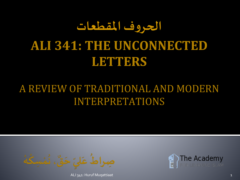# **الحروف املقطعات ALI 341: THE UNCONNECTED LETTERS**

#### A REVIEW OF TRADITIONAL AND MODERN INTERPRETATIONS



ALI 341: Huruf Muqattiaat 1

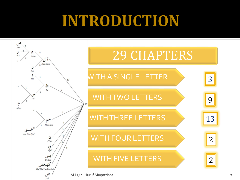# **INTRODUCTION**

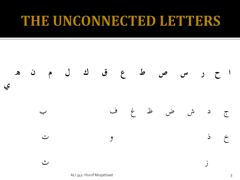#### THE UNCONNECTED LETTERS



ALI 341: Huruf Muqattiaat 3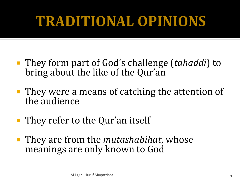## **TRADITIONAL OPINIONS**

- They form part of God's challenge *(tahaddi)* to bring about the like of the Qur'an
- They were a means of catching the attention of the audience
- **They refer to the Qur'an itself**
- They are from the *mutashabihat*, whose meanings are only known to God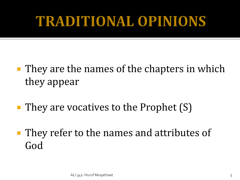### **TRADITIONAL OPINIONS**

- **They are the names of the chapters in which** they appear
- $\blacksquare$  They are vocatives to the Prophet  $(S)$
- **They refer to the names and attributes of** God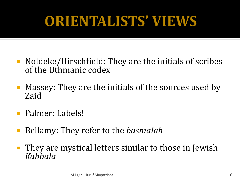# ORIENTALISTS' VIEWS

- Noldeke/Hirschfield: They are the initials of scribes of the Uthmanic codex
- Massey: They are the initials of the sources used by Zaid
- **Palmer: Labels!**
- Bellamy: They refer to the *basmalah*
- They are mystical letters similar to those in Jewish *Kabbala*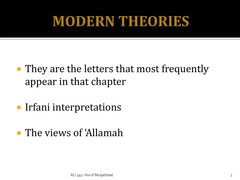### **MODERN THEORIES**

- **They are the letters that most frequently** appear in that chapter
- **Irfani interpretations**
- **The views of 'Allamah'**